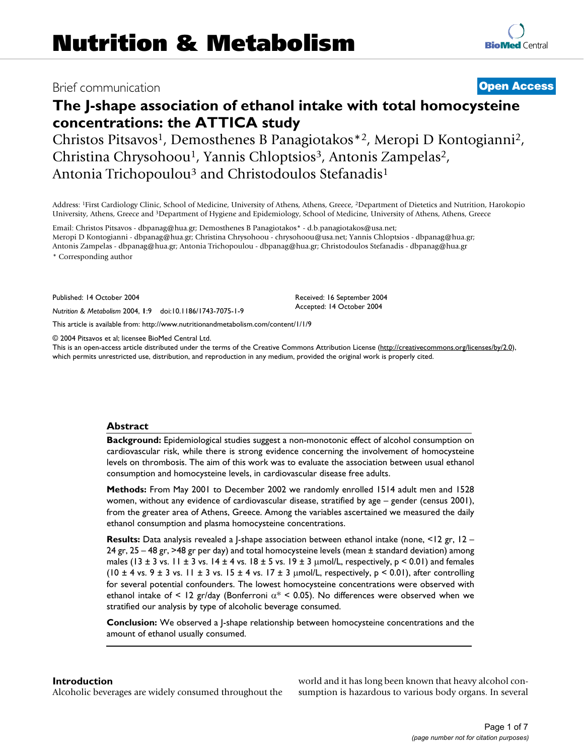## Brief communication **[Open Access](http://www.biomedcentral.com/info/about/charter/)**

# **The J-shape association of ethanol intake with total homocysteine concentrations: the ATTICA study**

Christos Pitsavos1, Demosthenes B Panagiotakos\*2, Meropi D Kontogianni2, Christina Chrysohoou<sup>1</sup>, Yannis Chloptsios<sup>3</sup>, Antonis Zampelas<sup>2</sup>, Antonia Trichopoulou<sup>3</sup> and Christodoulos Stefanadis<sup>1</sup>

Address: 1First Cardiology Clinic, School of Medicine, University of Athens, Athens, Greece, 2Department of Dietetics and Nutrition, Harokopio University, Athens, Greece and 3Department of Hygiene and Epidemiology, School of Medicine, University of Athens, Athens, Greece

Email: Christos Pitsavos - dbpanag@hua.gr; Demosthenes B Panagiotakos\* - d.b.panagiotakos@usa.net; Meropi D Kontogianni - dbpanag@hua.gr; Christina Chrysohoou - chrysohoou@usa.net; Yannis Chloptsios - dbpanag@hua.gr; Antonis Zampelas - dbpanag@hua.gr; Antonia Trichopoulou - dbpanag@hua.gr; Christodoulos Stefanadis - dbpanag@hua.gr

\* Corresponding author

Published: 14 October 2004

*Nutrition & Metabolism* 2004, **1**:9 doi:10.1186/1743-7075-1-9

[This article is available from: http://www.nutritionandmetabolism.com/content/1/1/9](http://www.nutritionandmetabolism.com/content/1/1/9)

© 2004 Pitsavos et al; licensee BioMed Central Ltd.

This is an open-access article distributed under the terms of the Creative Commons Attribution License (<http://creativecommons.org/licenses/by/2.0>), which permits unrestricted use, distribution, and reproduction in any medium, provided the original work is properly cited.

Received: 16 September 2004 Accepted: 14 October 2004

#### **Abstract**

**Background:** Epidemiological studies suggest a non-monotonic effect of alcohol consumption on cardiovascular risk, while there is strong evidence concerning the involvement of homocysteine levels on thrombosis. The aim of this work was to evaluate the association between usual ethanol consumption and homocysteine levels, in cardiovascular disease free adults.

**Methods:** From May 2001 to December 2002 we randomly enrolled 1514 adult men and 1528 women, without any evidence of cardiovascular disease, stratified by age – gender (census 2001), from the greater area of Athens, Greece. Among the variables ascertained we measured the daily ethanol consumption and plasma homocysteine concentrations.

**Results:** Data analysis revealed a J-shape association between ethanol intake (none, <12 gr, 12 – 24 gr, 25 – 48 gr, >48 gr per day) and total homocysteine levels (mean ± standard deviation) among males (13 ± 3 vs. 11 ± 3 vs. 14 ± 4 vs. 18 ± 5 vs. 19 ± 3  $\mu$ mol/L, respectively, p < 0.01) and females (10  $\pm$  4 vs. 9  $\pm$  3 vs. 11  $\pm$  3 vs. 15  $\pm$  4 vs. 17  $\pm$  3  $\mu$ mol/L, respectively, p < 0.01), after controlling for several potential confounders. The lowest homocysteine concentrations were observed with ethanol intake of < 12 gr/day (Bonferroni  $\alpha^*$  < 0.05). No differences were observed when we stratified our analysis by type of alcoholic beverage consumed.

**Conclusion:** We observed a J-shape relationship between homocysteine concentrations and the amount of ethanol usually consumed.

#### **Introduction**

Alcoholic beverages are widely consumed throughout the

world and it has long been known that heavy alcohol consumption is hazardous to various body organs. In several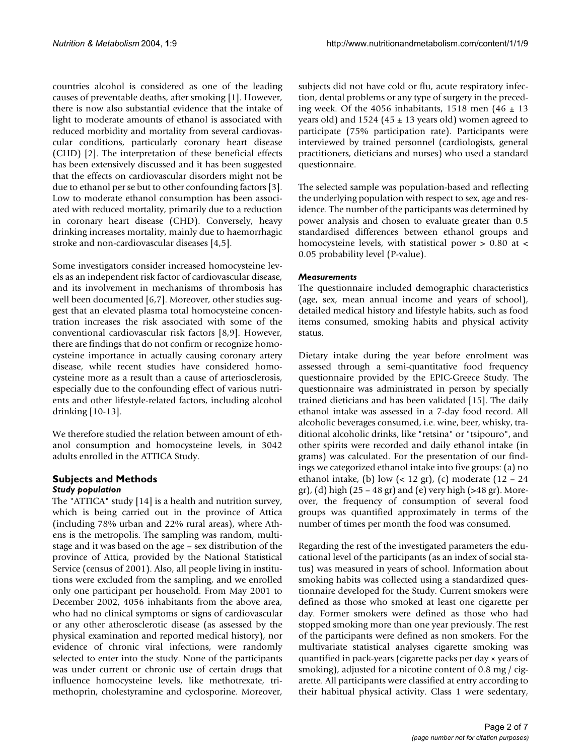countries alcohol is considered as one of the leading causes of preventable deaths, after smoking [1]. However, there is now also substantial evidence that the intake of light to moderate amounts of ethanol is associated with reduced morbidity and mortality from several cardiovascular conditions, particularly coronary heart disease (CHD) [2]. The interpretation of these beneficial effects has been extensively discussed and it has been suggested that the effects on cardiovascular disorders might not be due to ethanol per se but to other confounding factors [3]. Low to moderate ethanol consumption has been associated with reduced mortality, primarily due to a reduction in coronary heart disease (CHD). Conversely, heavy drinking increases mortality, mainly due to haemorrhagic stroke and non-cardiovascular diseases [4,5].

Some investigators consider increased homocysteine levels as an independent risk factor of cardiovascular disease, and its involvement in mechanisms of thrombosis has well been documented [6,7]. Moreover, other studies suggest that an elevated plasma total homocysteine concentration increases the risk associated with some of the conventional cardiovascular risk factors [8,9]. However, there are findings that do not confirm or recognize homocysteine importance in actually causing coronary artery disease, while recent studies have considered homocysteine more as a result than a cause of arteriosclerosis, especially due to the confounding effect of various nutrients and other lifestyle-related factors, including alcohol drinking [10-13].

We therefore studied the relation between amount of ethanol consumption and homocysteine levels, in 3042 adults enrolled in the ATTICA Study.

#### **Subjects and Methods** *Study population*

The "ATTICA" study [14] is a health and nutrition survey, which is being carried out in the province of Attica (including 78% urban and 22% rural areas), where Athens is the metropolis. The sampling was random, multistage and it was based on the age – sex distribution of the province of Attica, provided by the National Statistical Service (census of 2001). Also, all people living in institutions were excluded from the sampling, and we enrolled only one participant per household. From May 2001 to December 2002, 4056 inhabitants from the above area, who had no clinical symptoms or signs of cardiovascular or any other atherosclerotic disease (as assessed by the physical examination and reported medical history), nor evidence of chronic viral infections, were randomly selected to enter into the study. None of the participants was under current or chronic use of certain drugs that influence homocysteine levels, like methotrexate, trimethoprin, cholestyramine and cyclosporine. Moreover,

subjects did not have cold or flu, acute respiratory infection, dental problems or any type of surgery in the preceding week. Of the 4056 inhabitants, 1518 men (46  $\pm$  13 years old) and 1524 (45  $\pm$  13 years old) women agreed to participate (75% participation rate). Participants were interviewed by trained personnel (cardiologists, general practitioners, dieticians and nurses) who used a standard questionnaire.

The selected sample was population-based and reflecting the underlying population with respect to sex, age and residence. The number of the participants was determined by power analysis and chosen to evaluate greater than 0.5 standardised differences between ethanol groups and homocysteine levels, with statistical power > 0.80 at < 0.05 probability level (P-value).

#### *Measurements*

The questionnaire included demographic characteristics (age, sex, mean annual income and years of school), detailed medical history and lifestyle habits, such as food items consumed, smoking habits and physical activity status.

Dietary intake during the year before enrolment was assessed through a semi-quantitative food frequency questionnaire provided by the EPIC-Greece Study. The questionnaire was administrated in person by specially trained dieticians and has been validated [15]. The daily ethanol intake was assessed in a 7-day food record. All alcoholic beverages consumed, i.e. wine, beer, whisky, traditional alcoholic drinks, like "retsina" or "tsipouro", and other spirits were recorded and daily ethanol intake (in grams) was calculated. For the presentation of our findings we categorized ethanol intake into five groups: (a) no ethanol intake, (b) low  $(< 12 \text{ gr})$ , (c) moderate  $(12 - 24 \text{ gr})$ gr), (d) high (25 – 48 gr) and (e) very high (>48 gr). Moreover, the frequency of consumption of several food groups was quantified approximately in terms of the number of times per month the food was consumed.

Regarding the rest of the investigated parameters the educational level of the participants (as an index of social status) was measured in years of school. Information about smoking habits was collected using a standardized questionnaire developed for the Study. Current smokers were defined as those who smoked at least one cigarette per day. Former smokers were defined as those who had stopped smoking more than one year previously. The rest of the participants were defined as non smokers. For the multivariate statistical analyses cigarette smoking was quantified in pack-years (cigarette packs per day × years of smoking), adjusted for a nicotine content of 0.8 mg / cigarette. All participants were classified at entry according to their habitual physical activity. Class 1 were sedentary,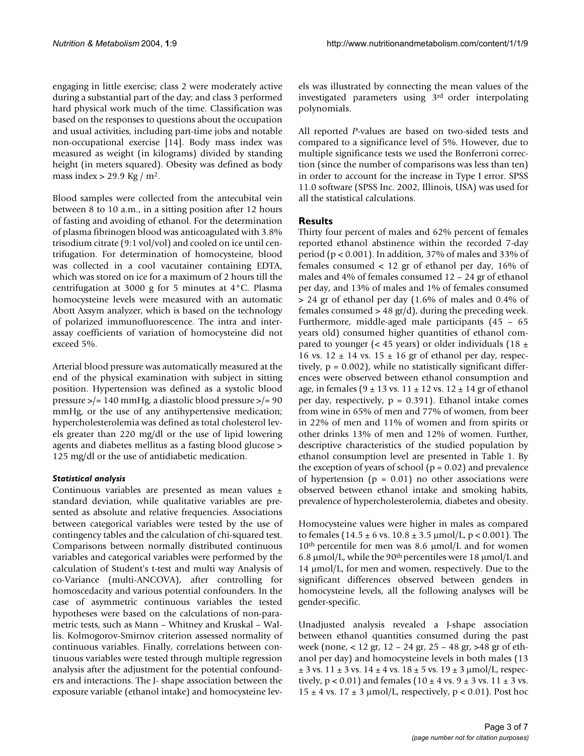engaging in little exercise; class 2 were moderately active during a substantial part of the day; and class 3 performed hard physical work much of the time. Classification was based on the responses to questions about the occupation and usual activities, including part-time jobs and notable non-occupational exercise [14]. Body mass index was measured as weight (in kilograms) divided by standing height (in meters squared). Obesity was defined as body mass index  $> 29.9$  Kg / m<sup>2</sup>.

Blood samples were collected from the antecubital vein between 8 to 10 a.m., in a sitting position after 12 hours of fasting and avoiding of ethanol. For the determination of plasma fibrinogen blood was anticoagulated with 3.8% trisodium citrate (9:1 vol/vol) and cooled on ice until centrifugation. For determination of homocysteine, blood was collected in a cool vacutainer containing EDTA, which was stored on ice for a maximum of 2 hours till the centrifugation at 3000 g for 5 minutes at 4°C. Plasma homocysteine levels were measured with an automatic Abott Axsym analyzer, which is based on the technology of polarized immunofluorescence. The intra and interassay coefficients of variation of homocysteine did not exceed 5%.

Arterial blood pressure was automatically measured at the end of the physical examination with subject in sitting position. Hypertension was defined as a systolic blood pressure >/= 140 mmHg, a diastolic blood pressure >/= 90 mmHg, or the use of any antihypertensive medication; hypercholesterolemia was defined as total cholesterol levels greater than 220 mg/dl or the use of lipid lowering agents and diabetes mellitus as a fasting blood glucose > 125 mg/dl or the use of antidiabetic medication.

#### *Statistical analysis*

Continuous variables are presented as mean values  $\pm$ standard deviation, while qualitative variables are presented as absolute and relative frequencies. Associations between categorical variables were tested by the use of contingency tables and the calculation of chi-squared test. Comparisons between normally distributed continuous variables and categorical variables were performed by the calculation of Student's t-test and multi way Analysis of co-Variance (multi-ANCOVA), after controlling for homoscedacity and various potential confounders. In the case of asymmetric continuous variables the tested hypotheses were based on the calculations of non-parametric tests, such as Mann – Whitney and Kruskal – Wallis. Kolmogorov-Smirnov criterion assessed normality of continuous variables. Finally, correlations between continuous variables were tested through multiple regression analysis after the adjustment for the potential confounders and interactions. The J- shape association between the exposure variable (ethanol intake) and homocysteine levels was illustrated by connecting the mean values of the investigated parameters using 3rd order interpolating polynomials.

All reported *P*-values are based on two-sided tests and compared to a significance level of 5%. However, due to multiple significance tests we used the Bonferroni correction (since the number of comparisons was less than ten) in order to account for the increase in Type I error. SPSS 11.0 software (SPSS Inc. 2002, Illinois, USA) was used for all the statistical calculations.

#### **Results**

Thirty four percent of males and 62% percent of females reported ethanol abstinence within the recorded 7-day period (p < 0.001). In addition, 37% of males and 33% of females consumed < 12 gr of ethanol per day, 16% of males and 4% of females consumed 12 – 24 gr of ethanol per day, and 13% of males and 1% of females consumed > 24 gr of ethanol per day (1.6% of males and 0.4% of females consumed  $> 48$  gr/d), during the preceding week. Furthermore, middle-aged male participants (45 – 65 years old) consumed higher quantities of ethanol compared to younger (< 45 years) or older individuals (18  $\pm$ 16 vs.  $12 \pm 14$  vs.  $15 \pm 16$  gr of ethanol per day, respectively, p = 0.002), while no statistically significant differences were observed between ethanol consumption and age, in females (9  $\pm$  13 vs. 11  $\pm$  12 vs. 12  $\pm$  14 gr of ethanol per day, respectively,  $p = 0.391$ ). Ethanol intake comes from wine in 65% of men and 77% of women, from beer in 22% of men and 11% of women and from spirits or other drinks 13% of men and 12% of women. Further, descriptive characteristics of the studied population by ethanol consumption level are presented in Table [1](#page-3-0). By the exception of years of school ( $p = 0.02$ ) and prevalence of hypertension ( $p = 0.01$ ) no other associations were observed between ethanol intake and smoking habits, prevalence of hypercholesterolemia, diabetes and obesity.

Homocysteine values were higher in males as compared to females (14.5  $\pm$  6 vs. 10.8  $\pm$  3.5  $\mu$ mol/L, p < 0.001). The  $10<sup>th</sup>$  percentile for men was 8.6  $\mu$ mol/L and for women 6.8 µmol/L, while the 90th percentiles were 18 µmol/L and 14 µmol/L, for men and women, respectively. Due to the significant differences observed between genders in homocysteine levels, all the following analyses will be gender-specific.

Unadjusted analysis revealed a J-shape association between ethanol quantities consumed during the past week (none, < 12 gr, 12 – 24 gr, 25 – 48 gr, >48 gr of ethanol per day) and homocysteine levels in both males (13  $\pm$  3 vs. 11  $\pm$  3 vs. 14  $\pm$  4 vs. 18  $\pm$  5 vs. 19  $\pm$  3  $\mu$ mol/L, respectively,  $p < 0.01$ ) and females  $(10 \pm 4 \text{ vs. } 9 \pm 3 \text{ vs. } 11 \pm 3 \text{ vs. } 11 \pm 3 \text{ vs. } 11 \pm 3 \text{ vs. } 11 \pm 3 \text{ vs. } 11 \pm 3 \text{ vs. } 11 \pm 3 \text{ vs. } 11 \pm 3 \text{ vs. } 11 \pm 3 \text{ vs. } 11 \pm 3 \text{ vs. } 11 \pm 3 \text{ vs. } 11 \pm 3 \text{ vs. } 11 \pm 3 \text{ vs. } 11 \pm 3 \$  $15 \pm 4$  vs.  $17 \pm 3$   $\mu$ mol/L, respectively, p < 0.01). Post hoc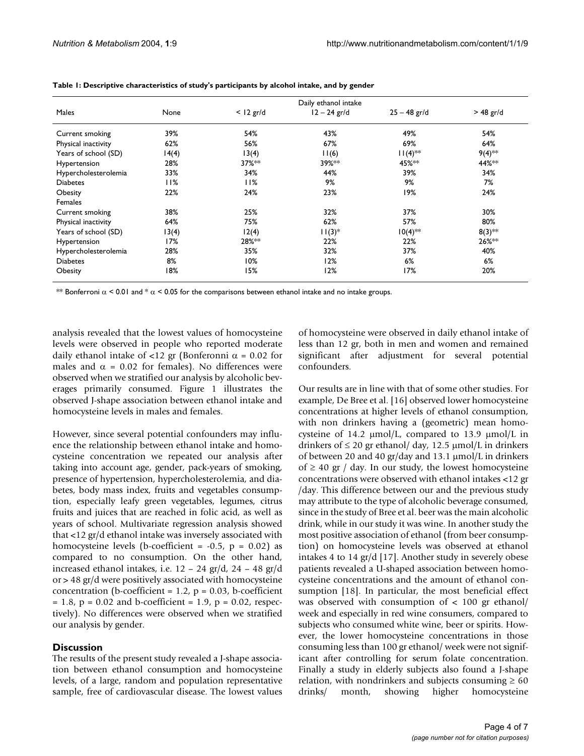| Males                | Daily ethanol intake |             |                |                |             |
|----------------------|----------------------|-------------|----------------|----------------|-------------|
|                      | None                 | $<$ 12 gr/d | $12 - 24$ gr/d | $25 - 48$ gr/d | $> 48$ gr/d |
| Current smoking      | 39%                  | 54%         | 43%            | 49%            | 54%         |
| Physical inactivity  | 62%                  | 56%         | 67%            | 69%            | 64%         |
| Years of school (SD) | 14(4)                | 13(4)       | 11(6)          | $11(4)$ **     | $9(4)$ **   |
| Hypertension         | 28%                  | 37%**       | 39%**          | 45%**          | 44%**       |
| Hypercholesterolemia | 33%                  | 34%         | 44%            | 39%            | 34%         |
| <b>Diabetes</b>      | 11%                  | 11%         | 9%             | 9%             | 7%          |
| Obesity              | 22%                  | 24%         | 23%            | 19%            | 24%         |
| Females              |                      |             |                |                |             |
| Current smoking      | 38%                  | 25%         | 32%            | 37%            | 30%         |
| Physical inactivity  | 64%                  | 75%         | 62%            | 57%            | 80%         |
| Years of school (SD) | 13(4)                | 12(4)       | $11(3)*$       | $10(4)$ **     | $8(3)$ **   |
| Hypertension         | 17%                  | 28%**       | 22%            | 22%            | 26%**       |
| Hypercholesterolemia | 28%                  | 35%         | 32%            | 37%            | 40%         |
| <b>Diabetes</b>      | 8%                   | 10%         | 12%            | 6%             | 6%          |
| Obesity              | 18%                  | 15%         | 12%            | 17%            | 20%         |

<span id="page-3-0"></span>

\*\* Bonferroni  $\alpha$  < 0.01 and \*  $\alpha$  < 0.05 for the comparisons between ethanol intake and no intake groups.

analysis revealed that the lowest values of homocysteine levels were observed in people who reported moderate daily ethanol intake of <12 gr (Bonferonni  $\alpha$  = 0.02 for males and  $\alpha = 0.02$  for females). No differences were observed when we stratified our analysis by alcoholic beverages primarily consumed. Figure 1 illustrates the observed J-shape association between ethanol intake and homocysteine levels in males and females.

However, since several potential confounders may influence the relationship between ethanol intake and homocysteine concentration we repeated our analysis after taking into account age, gender, pack-years of smoking, presence of hypertension, hypercholesterolemia, and diabetes, body mass index, fruits and vegetables consumption, especially leafy green vegetables, legumes, citrus fruits and juices that are reached in folic acid, as well as years of school. Multivariate regression analysis showed that <12 gr/d ethanol intake was inversely associated with homocysteine levels (b-coefficient =  $-0.5$ , p = 0.02) as compared to no consumption. On the other hand, increased ethanol intakes, i.e. 12 – 24 gr/d, 24 – 48 gr/d or > 48 gr/d were positively associated with homocysteine concentration (b-coefficient =  $1.2$ ,  $p = 0.03$ , b-coefficient  $= 1.8$ , p = 0.02 and b-coefficient = 1.9, p = 0.02, respectively). No differences were observed when we stratified our analysis by gender.

#### **Discussion**

The results of the present study revealed a J-shape association between ethanol consumption and homocysteine levels, of a large, random and population representative sample, free of cardiovascular disease. The lowest values

of homocysteine were observed in daily ethanol intake of less than 12 gr, both in men and women and remained significant after adjustment for several potential confounders.

Our results are in line with that of some other studies. For example, De Bree et al. [16] observed lower homocysteine concentrations at higher levels of ethanol consumption, with non drinkers having a (geometric) mean homocysteine of 14.2  $\mu$ mol/L, compared to 13.9  $\mu$ mol/L in drinkers of  $\leq 20$  gr ethanol/ day, 12.5  $\mu$ mol/L in drinkers of between 20 and 40 gr/day and 13.1 µmol/L in drinkers of  $\geq$  40 gr / day. In our study, the lowest homocysteine concentrations were observed with ethanol intakes <12 gr /day. This difference between our and the previous study may attribute to the type of alcoholic beverage consumed, since in the study of Bree et al. beer was the main alcoholic drink, while in our study it was wine. In another study the most positive association of ethanol (from beer consumption) on homocysteine levels was observed at ethanol intakes 4 to 14 gr/d [17]. Another study in severely obese patients revealed a U-shaped association between homocysteine concentrations and the amount of ethanol consumption [18]. In particular, the most beneficial effect was observed with consumption of  $\langle 100 \rangle$  gr ethanol/ week and especially in red wine consumers, compared to subjects who consumed white wine, beer or spirits. However, the lower homocysteine concentrations in those consuming less than 100 gr ethanol/ week were not significant after controlling for serum folate concentration. Finally a study in elderly subjects also found a J-shape relation, with nondrinkers and subjects consuming  $\geq 60$ drinks/ month, showing higher homocysteine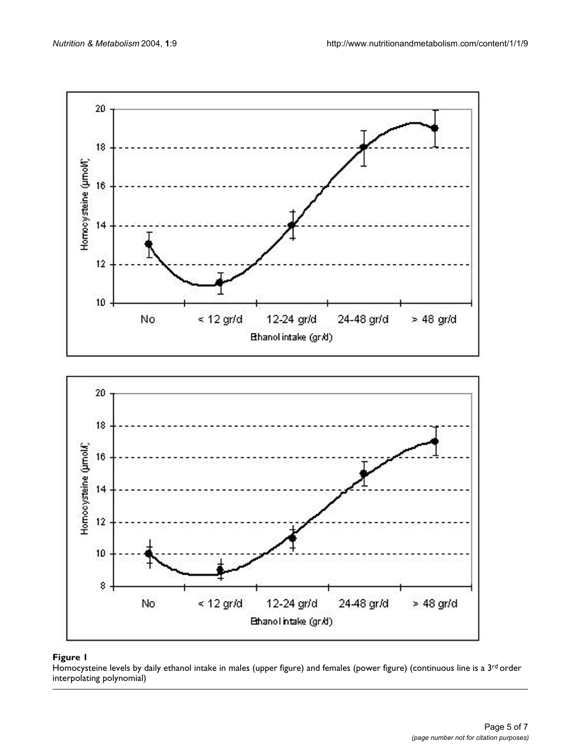

#### Homocysteine levels by daily ethanol intake in males (upper figure) and females (power figure) (continuous line is a 3 interpolating polynomial) **Figure 1** rd order

Homocysteine levels by daily ethanol intake in males (upper figure) and females (power figure) (continuous line is a 3rd order interpolating polynomial)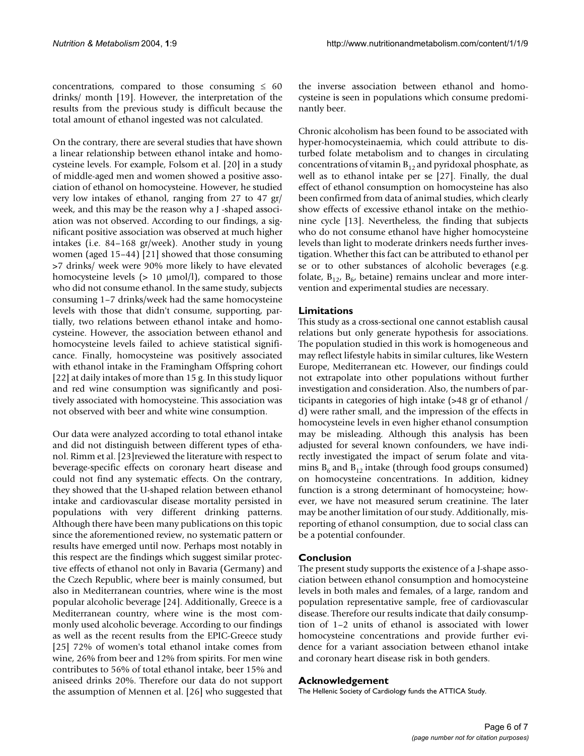concentrations, compared to those consuming  $\leq 60$ drinks/ month [19]. However, the interpretation of the results from the previous study is difficult because the total amount of ethanol ingested was not calculated.

On the contrary, there are several studies that have shown a linear relationship between ethanol intake and homocysteine levels. For example, Folsom et al. [20] in a study of middle-aged men and women showed a positive association of ethanol on homocysteine. However, he studied very low intakes of ethanol, ranging from 27 to 47 gr/ week, and this may be the reason why a J -shaped association was not observed. According to our findings, a significant positive association was observed at much higher intakes (i.e. 84–168 gr/week). Another study in young women (aged 15–44) [21] showed that those consuming >7 drinks/ week were 90% more likely to have elevated homocysteine levels  $(> 10 \mu \text{mol/l})$ , compared to those who did not consume ethanol. In the same study, subjects consuming 1–7 drinks/week had the same homocysteine levels with those that didn't consume, supporting, partially, two relations between ethanol intake and homocysteine. However, the association between ethanol and homocysteine levels failed to achieve statistical significance. Finally, homocysteine was positively associated with ethanol intake in the Framingham Offspring cohort [22] at daily intakes of more than 15 g. In this study liquor and red wine consumption was significantly and positively associated with homocysteine. This association was not observed with beer and white wine consumption.

Our data were analyzed according to total ethanol intake and did not distinguish between different types of ethanol. Rimm et al. [23]reviewed the literature with respect to beverage-specific effects on coronary heart disease and could not find any systematic effects. On the contrary, they showed that the U-shaped relation between ethanol intake and cardiovascular disease mortality persisted in populations with very different drinking patterns. Although there have been many publications on this topic since the aforementioned review, no systematic pattern or results have emerged until now. Perhaps most notably in this respect are the findings which suggest similar protective effects of ethanol not only in Bavaria (Germany) and the Czech Republic, where beer is mainly consumed, but also in Mediterranean countries, where wine is the most popular alcoholic beverage [24]. Additionally, Greece is a Mediterranean country, where wine is the most commonly used alcoholic beverage. According to our findings as well as the recent results from the EPIC-Greece study [25] 72% of women's total ethanol intake comes from wine, 26% from beer and 12% from spirits. For men wine contributes to 56% of total ethanol intake, beer 15% and aniseed drinks 20%. Therefore our data do not support the assumption of Mennen et al. [26] who suggested that

the inverse association between ethanol and homocysteine is seen in populations which consume predominantly beer.

Chronic alcoholism has been found to be associated with hyper-homocysteinaemia, which could attribute to disturbed folate metabolism and to changes in circulating concentrations of vitamin  $B_{12}$  and pyridoxal phosphate, as well as to ethanol intake per se [27]. Finally, the dual effect of ethanol consumption on homocysteine has also been confirmed from data of animal studies, which clearly show effects of excessive ethanol intake on the methionine cycle [13]. Nevertheless, the finding that subjects who do not consume ethanol have higher homocysteine levels than light to moderate drinkers needs further investigation. Whether this fact can be attributed to ethanol per se or to other substances of alcoholic beverages (e.g. folate,  $B_{12}$ ,  $B_{6}$ , betaine) remains unclear and more intervention and experimental studies are necessary.

#### **Limitations**

This study as a cross-sectional one cannot establish causal relations but only generate hypothesis for associations. The population studied in this work is homogeneous and may reflect lifestyle habits in similar cultures, like Western Europe, Mediterranean etc. However, our findings could not extrapolate into other populations without further investigation and consideration. Also, the numbers of participants in categories of high intake (>48 gr of ethanol / d) were rather small, and the impression of the effects in homocysteine levels in even higher ethanol consumption may be misleading. Although this analysis has been adjusted for several known confounders, we have indirectly investigated the impact of serum folate and vitamins  $B_6$  and  $B_{12}$  intake (through food groups consumed) on homocysteine concentrations. In addition, kidney function is a strong determinant of homocysteine; however, we have not measured serum creatinine. The later may be another limitation of our study. Additionally, misreporting of ethanol consumption, due to social class can be a potential confounder.

### **Conclusion**

The present study supports the existence of a J-shape association between ethanol consumption and homocysteine levels in both males and females, of a large, random and population representative sample, free of cardiovascular disease. Therefore our results indicate that daily consumption of 1–2 units of ethanol is associated with lower homocysteine concentrations and provide further evidence for a variant association between ethanol intake and coronary heart disease risk in both genders.

#### **Acknowledgement**

The Hellenic Society of Cardiology funds the ATTICA Study.